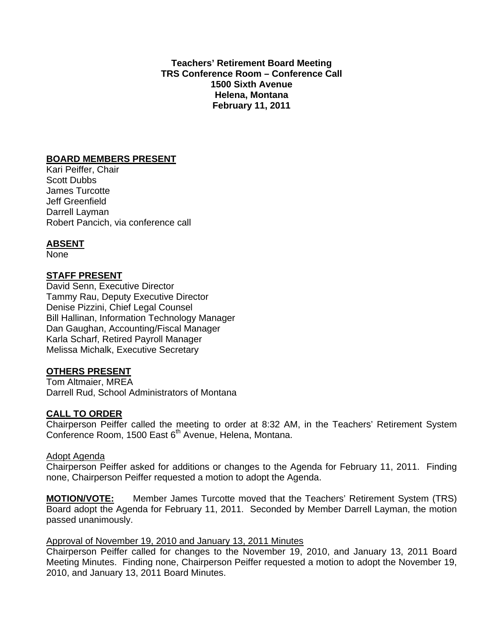**Teachers' Retirement Board Meeting TRS Conference Room – Conference Call 1500 Sixth Avenue Helena, Montana February 11, 2011** 

#### **BOARD MEMBERS PRESENT**

Kari Peiffer, Chair Scott Dubbs James Turcotte Jeff Greenfield Darrell Layman Robert Pancich, via conference call

# **ABSENT**

None

## **STAFF PRESENT**

David Senn, Executive Director Tammy Rau, Deputy Executive Director Denise Pizzini, Chief Legal Counsel Bill Hallinan, Information Technology Manager Dan Gaughan, Accounting/Fiscal Manager Karla Scharf, Retired Payroll Manager Melissa Michalk, Executive Secretary

#### **OTHERS PRESENT**

Tom Altmaier, MREA Darrell Rud, School Administrators of Montana

#### **CALL TO ORDER**

Chairperson Peiffer called the meeting to order at 8:32 AM, in the Teachers' Retirement System Conference Room, 1500 East 6<sup>th</sup> Avenue, Helena, Montana.

#### Adopt Agenda

Chairperson Peiffer asked for additions or changes to the Agenda for February 11, 2011. Finding none, Chairperson Peiffer requested a motion to adopt the Agenda.

**MOTION/VOTE:** Member James Turcotte moved that the Teachers' Retirement System (TRS) Board adopt the Agenda for February 11, 2011. Seconded by Member Darrell Layman, the motion passed unanimously.

# Approval of November 19, 2010 and January 13, 2011 Minutes

Chairperson Peiffer called for changes to the November 19, 2010, and January 13, 2011 Board Meeting Minutes. Finding none, Chairperson Peiffer requested a motion to adopt the November 19, 2010, and January 13, 2011 Board Minutes.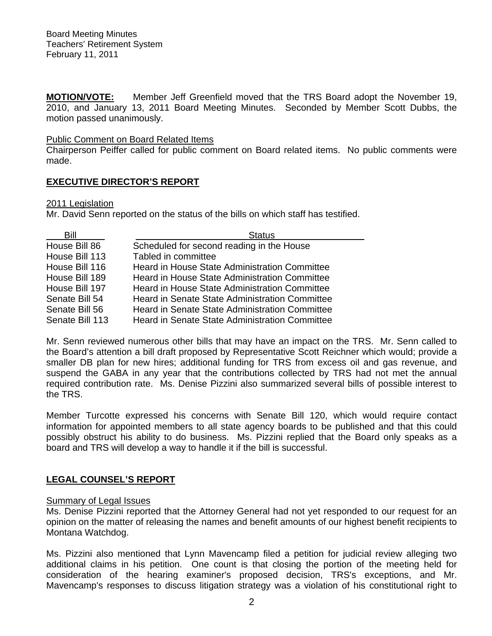**MOTION/VOTE:** Member Jeff Greenfield moved that the TRS Board adopt the November 19, 2010, and January 13, 2011 Board Meeting Minutes. Seconded by Member Scott Dubbs, the motion passed unanimously.

#### Public Comment on Board Related Items

Chairperson Peiffer called for public comment on Board related items. No public comments were made.

# **EXECUTIVE DIRECTOR'S REPORT**

## 2011 Legislation

Mr. David Senn reported on the status of the bills on which staff has testified.

| Bill            | <b>Status</b>                                         |
|-----------------|-------------------------------------------------------|
| House Bill 86   | Scheduled for second reading in the House             |
| House Bill 113  | Tabled in committee                                   |
| House Bill 116  | Heard in House State Administration Committee         |
| House Bill 189  | <b>Heard in House State Administration Committee</b>  |
| House Bill 197  | <b>Heard in House State Administration Committee</b>  |
| Senate Bill 54  | <b>Heard in Senate State Administration Committee</b> |
| Senate Bill 56  | Heard in Senate State Administration Committee        |
| Senate Bill 113 | <b>Heard in Senate State Administration Committee</b> |

Mr. Senn reviewed numerous other bills that may have an impact on the TRS. Mr. Senn called to the Board's attention a bill draft proposed by Representative Scott Reichner which would; provide a smaller DB plan for new hires; additional funding for TRS from excess oil and gas revenue, and suspend the GABA in any year that the contributions collected by TRS had not met the annual required contribution rate. Ms. Denise Pizzini also summarized several bills of possible interest to the TRS.

Member Turcotte expressed his concerns with Senate Bill 120, which would require contact information for appointed members to all state agency boards to be published and that this could possibly obstruct his ability to do business. Ms. Pizzini replied that the Board only speaks as a board and TRS will develop a way to handle it if the bill is successful.

# **LEGAL COUNSEL'S REPORT**

#### Summary of Legal Issues

Ms. Denise Pizzini reported that the Attorney General had not yet responded to our request for an opinion on the matter of releasing the names and benefit amounts of our highest benefit recipients to Montana Watchdog.

Ms. Pizzini also mentioned that Lynn Mavencamp filed a petition for judicial review alleging two additional claims in his petition. One count is that closing the portion of the meeting held for consideration of the hearing examiner's proposed decision, TRS's exceptions, and Mr. Mavencamp's responses to discuss litigation strategy was a violation of his constitutional right to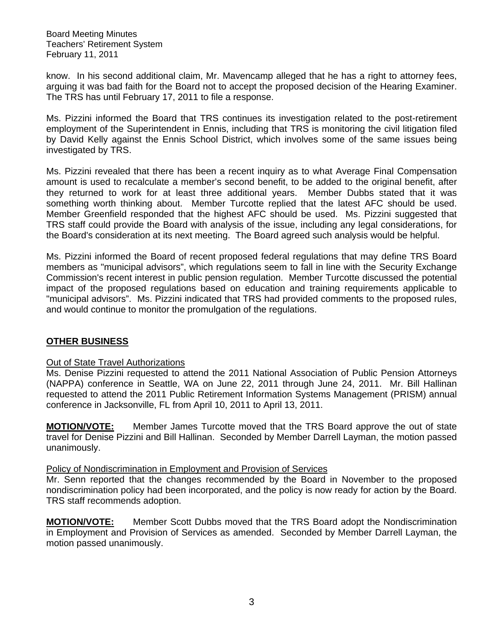Board Meeting Minutes Teachers' Retirement System February 11, 2011

know. In his second additional claim, Mr. Mavencamp alleged that he has a right to attorney fees, arguing it was bad faith for the Board not to accept the proposed decision of the Hearing Examiner. The TRS has until February 17, 2011 to file a response.

Ms. Pizzini informed the Board that TRS continues its investigation related to the post-retirement employment of the Superintendent in Ennis, including that TRS is monitoring the civil litigation filed by David Kelly against the Ennis School District, which involves some of the same issues being investigated by TRS.

Ms. Pizzini revealed that there has been a recent inquiry as to what Average Final Compensation amount is used to recalculate a member's second benefit, to be added to the original benefit, after they returned to work for at least three additional years. Member Dubbs stated that it was something worth thinking about. Member Turcotte replied that the latest AFC should be used. Member Greenfield responded that the highest AFC should be used. Ms. Pizzini suggested that TRS staff could provide the Board with analysis of the issue, including any legal considerations, for the Board's consideration at its next meeting. The Board agreed such analysis would be helpful.

Ms. Pizzini informed the Board of recent proposed federal regulations that may define TRS Board members as "municipal advisors", which regulations seem to fall in line with the Security Exchange Commission's recent interest in public pension regulation. Member Turcotte discussed the potential impact of the proposed regulations based on education and training requirements applicable to "municipal advisors". Ms. Pizzini indicated that TRS had provided comments to the proposed rules, and would continue to monitor the promulgation of the regulations.

#### **OTHER BUSINESS**

#### Out of State Travel Authorizations

Ms. Denise Pizzini requested to attend the 2011 National Association of Public Pension Attorneys (NAPPA) conference in Seattle, WA on June 22, 2011 through June 24, 2011. Mr. Bill Hallinan requested to attend the 2011 Public Retirement Information Systems Management (PRISM) annual conference in Jacksonville, FL from April 10, 2011 to April 13, 2011.

**MOTION/VOTE:** Member James Turcotte moved that the TRS Board approve the out of state travel for Denise Pizzini and Bill Hallinan. Seconded by Member Darrell Layman, the motion passed unanimously.

#### Policy of Nondiscrimination in Employment and Provision of Services

Mr. Senn reported that the changes recommended by the Board in November to the proposed nondiscrimination policy had been incorporated, and the policy is now ready for action by the Board. TRS staff recommends adoption.

**MOTION/VOTE:** Member Scott Dubbs moved that the TRS Board adopt the Nondiscrimination in Employment and Provision of Services as amended. Seconded by Member Darrell Layman, the motion passed unanimously.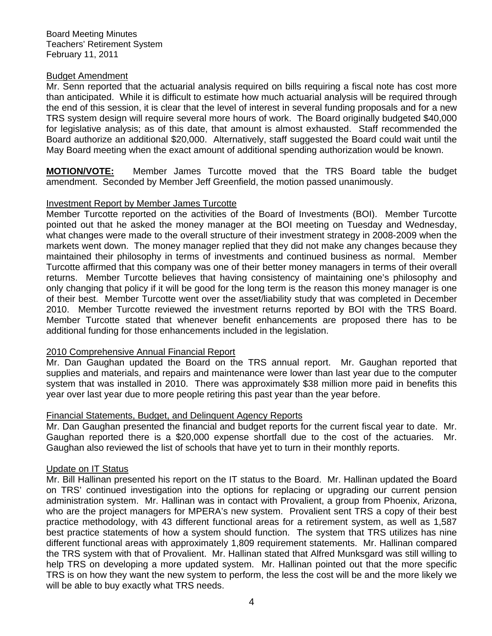#### Budget Amendment

Mr. Senn reported that the actuarial analysis required on bills requiring a fiscal note has cost more than anticipated. While it is difficult to estimate how much actuarial analysis will be required through the end of this session, it is clear that the level of interest in several funding proposals and for a new TRS system design will require several more hours of work. The Board originally budgeted \$40,000 for legislative analysis; as of this date, that amount is almost exhausted. Staff recommended the Board authorize an additional \$20,000. Alternatively, staff suggested the Board could wait until the May Board meeting when the exact amount of additional spending authorization would be known.

**MOTION/VOTE:** Member James Turcotte moved that the TRS Board table the budget amendment. Seconded by Member Jeff Greenfield, the motion passed unanimously.

#### Investment Report by Member James Turcotte

Member Turcotte reported on the activities of the Board of Investments (BOI). Member Turcotte pointed out that he asked the money manager at the BOI meeting on Tuesday and Wednesday, what changes were made to the overall structure of their investment strategy in 2008-2009 when the markets went down. The money manager replied that they did not make any changes because they maintained their philosophy in terms of investments and continued business as normal. Member Turcotte affirmed that this company was one of their better money managers in terms of their overall returns. Member Turcotte believes that having consistency of maintaining one's philosophy and only changing that policy if it will be good for the long term is the reason this money manager is one of their best. Member Turcotte went over the asset/liability study that was completed in December 2010. Member Turcotte reviewed the investment returns reported by BOI with the TRS Board. Member Turcotte stated that whenever benefit enhancements are proposed there has to be additional funding for those enhancements included in the legislation.

#### 2010 Comprehensive Annual Financial Report

Mr. Dan Gaughan updated the Board on the TRS annual report. Mr. Gaughan reported that supplies and materials, and repairs and maintenance were lower than last year due to the computer system that was installed in 2010. There was approximately \$38 million more paid in benefits this year over last year due to more people retiring this past year than the year before.

#### Financial Statements, Budget, and Delinquent Agency Reports

Mr. Dan Gaughan presented the financial and budget reports for the current fiscal year to date. Mr. Gaughan reported there is a \$20,000 expense shortfall due to the cost of the actuaries. Mr. Gaughan also reviewed the list of schools that have yet to turn in their monthly reports.

#### Update on IT Status

Mr. Bill Hallinan presented his report on the IT status to the Board. Mr. Hallinan updated the Board on TRS' continued investigation into the options for replacing or upgrading our current pension administration system. Mr. Hallinan was in contact with Provalient, a group from Phoenix, Arizona, who are the project managers for MPERA's new system. Provalient sent TRS a copy of their best practice methodology, with 43 different functional areas for a retirement system, as well as 1,587 best practice statements of how a system should function. The system that TRS utilizes has nine different functional areas with approximately 1,809 requirement statements. Mr. Hallinan compared the TRS system with that of Provalient. Mr. Hallinan stated that Alfred Munksgard was still willing to help TRS on developing a more updated system. Mr. Hallinan pointed out that the more specific TRS is on how they want the new system to perform, the less the cost will be and the more likely we will be able to buy exactly what TRS needs.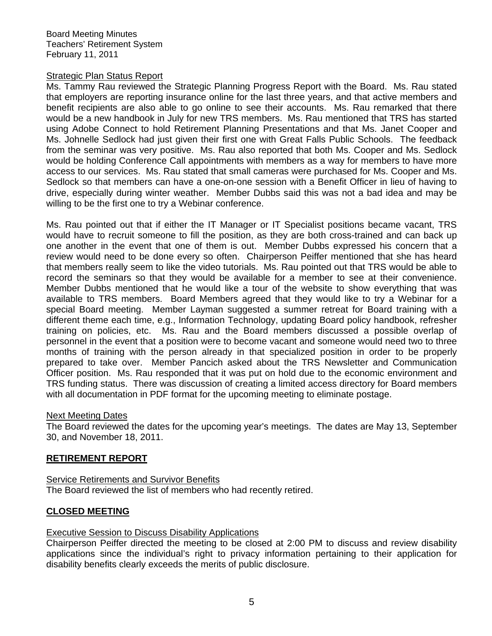Board Meeting Minutes Teachers' Retirement System February 11, 2011

#### Strategic Plan Status Report

Ms. Tammy Rau reviewed the Strategic Planning Progress Report with the Board. Ms. Rau stated that employers are reporting insurance online for the last three years, and that active members and benefit recipients are also able to go online to see their accounts. Ms. Rau remarked that there would be a new handbook in July for new TRS members. Ms. Rau mentioned that TRS has started using Adobe Connect to hold Retirement Planning Presentations and that Ms. Janet Cooper and Ms. Johnelle Sedlock had just given their first one with Great Falls Public Schools. The feedback from the seminar was very positive. Ms. Rau also reported that both Ms. Cooper and Ms. Sedlock would be holding Conference Call appointments with members as a way for members to have more access to our services. Ms. Rau stated that small cameras were purchased for Ms. Cooper and Ms. Sedlock so that members can have a one-on-one session with a Benefit Officer in lieu of having to drive, especially during winter weather. Member Dubbs said this was not a bad idea and may be willing to be the first one to try a Webinar conference.

Ms. Rau pointed out that if either the IT Manager or IT Specialist positions became vacant, TRS would have to recruit someone to fill the position, as they are both cross-trained and can back up one another in the event that one of them is out. Member Dubbs expressed his concern that a review would need to be done every so often. Chairperson Peiffer mentioned that she has heard that members really seem to like the video tutorials. Ms. Rau pointed out that TRS would be able to record the seminars so that they would be available for a member to see at their convenience. Member Dubbs mentioned that he would like a tour of the website to show everything that was available to TRS members. Board Members agreed that they would like to try a Webinar for a special Board meeting. Member Layman suggested a summer retreat for Board training with a different theme each time, e.g., Information Technology, updating Board policy handbook, refresher training on policies, etc. Ms. Rau and the Board members discussed a possible overlap of personnel in the event that a position were to become vacant and someone would need two to three months of training with the person already in that specialized position in order to be properly prepared to take over. Member Pancich asked about the TRS Newsletter and Communication Officer position. Ms. Rau responded that it was put on hold due to the economic environment and TRS funding status. There was discussion of creating a limited access directory for Board members with all documentation in PDF format for the upcoming meeting to eliminate postage.

#### Next Meeting Dates

The Board reviewed the dates for the upcoming year's meetings. The dates are May 13, September 30, and November 18, 2011.

#### **RETIREMENT REPORT**

## **Service Retirements and Survivor Benefits** The Board reviewed the list of members who had recently retired.

#### **CLOSED MEETING**

#### Executive Session to Discuss Disability Applications

Chairperson Peiffer directed the meeting to be closed at 2:00 PM to discuss and review disability applications since the individual's right to privacy information pertaining to their application for disability benefits clearly exceeds the merits of public disclosure.